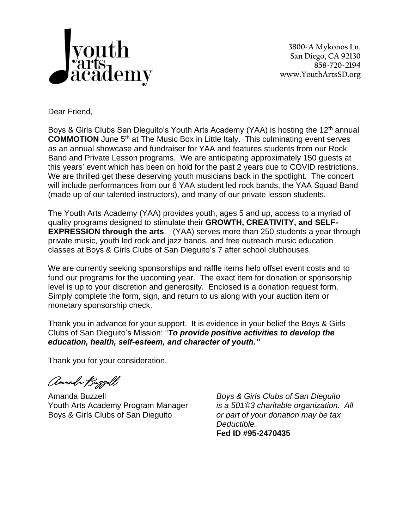

**3800-A Mykonos Ln. San Diego, CA 92130 858-720-2194 www.YouthArtsSD.org**

Dear Friend,

Boys & Girls Clubs San Dieguito's Youth Arts Academy (YAA) is hosting the 12<sup>th</sup> annual **COMMOTION** June 5<sup>th</sup> at The Music Box in Little Italy. This culminating event serves as an annual showcase and fundraiser for YAA and features students from our Rock Band and Private Lesson programs. We are anticipating approximately 150 guests at this years' event which has been on hold for the past 2 years due to COVID restrictions. We are thrilled get these deserving youth musicians back in the spotlight. The concert will include performances from our 6 YAA student led rock bands, the YAA Squad Band (made up of our talented instructors), and many of our private lesson students.

The Youth Arts Academy (YAA) provides youth, ages 5 and up, access to a myriad of quality programs designed to stimulate their **GROWTH, CREATIVITY, and SELF-EXPRESSION through the arts**. (YAA) serves more than 250 students a year through private music, youth led rock and jazz bands, and free outreach music education classes at Boys & Girls Clubs of San Dieguito's 7 after school clubhouses.

We are currently seeking sponsorships and raffle items help offset event costs and to fund our programs for the upcoming year. The exact item for donation or sponsorship level is up to your discretion and generosity. Enclosed is a donation request form. Simply complete the form, sign, and return to us along with your auction item or monetary sponsorship check.

Thank you in advance for your support. It is evidence in your belief the Boys & Girls Clubs of San Dieguito's Mission: "*To provide positive activities to develop the education, health, self-esteem, and character of youth."*

Thank you for your consideration,

Amanda Buzzell

Amanda Buzzell *Boys & Girls Clubs of San Dieguito* Youth Arts Academy Program Manager *is a 501©3 charitable organization. All* Boys & Girls Clubs of San Dieguito *or part of your donation may be tax*

*Deductible.* **Fed ID #95-2470435**